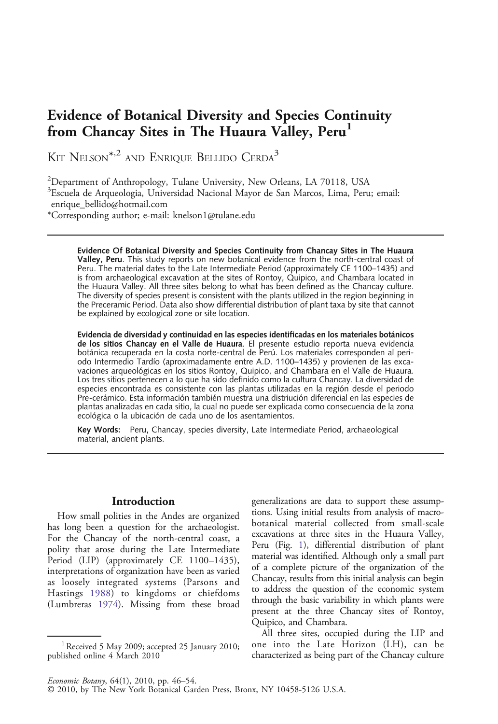# Evidence of Botanical Diversity and Species Continuity from Chancay Sites in The Huaura Valley, Peru<sup>1</sup>

KIT NELSON<sup>\*,2</sup> AND ENRIQUE BELLIDO CERDA<sup>3</sup>

<sup>2</sup>Department of Anthropology, Tulane University, New Orleans, LA 70118, USA 3 Escuela de Arqueologia, Universidad Nacional Mayor de San Marcos, Lima, Peru; email: enrique\_bellido@hotmail.com

\*Corresponding author; e-mail: knelson1@tulane.edu

Evidence Of Botanical Diversity and Species Continuity from Chancay Sites in The Huaura Valley, Peru. This study reports on new botanical evidence from the north-central coast of Peru. The material dates to the Late Intermediate Period (approximately CE 1100–1435) and is from archaeological excavation at the sites of Rontoy, Quipico, and Chambara located in the Huaura Valley. All three sites belong to what has been defined as the Chancay culture. The diversity of species present is consistent with the plants utilized in the region beginning in the Preceramic Period. Data also show differential distribution of plant taxa by site that cannot be explained by ecological zone or site location.

Evidencia de diversidad y continuidad en las especies identificadas en los materiales botánicos de los sitios Chancay en el Valle de Huaura. El presente estudio reporta nueva evidencia botánica recuperada en la costa norte-central de Perú. Los materiales corresponden al periodo Intermedio Tardío (aproximadamente entre A.D. 1100–1435) y provienen de las excavaciones arqueológicas en los sitios Rontoy, Quipico, and Chambara en el Valle de Huaura. Los tres sitios pertenecen a lo que ha sido definido como la cultura Chancay. La diversidad de especies encontrada es consistente con las plantas utilizadas en la región desde el periodo Pre-cerámico. Esta información también muestra una distriución diferencial en las especies de plantas analizadas en cada sitio, la cual no puede ser explicada como consecuencia de la zona ecológica o la ubicación de cada uno de los asentamientos.

Key Words: Peru, Chancay, species diversity, Late Intermediate Period, archaeological material, ancient plants.

#### Introduction

How small polities in the Andes are organized has long been a question for the archaeologist. For the Chancay of the north-central coast, a polity that arose during the Late Intermediate Period (LIP) (approximately CE 1100-1435), interpretations of organization have been as varied as loosely integrated systems (Parsons and Hastings [1988](#page-8-0)) to kingdoms or chiefdoms (Lumbreras [1974](#page-7-0)). Missing from these broad

generalizations are data to support these assumptions. Using initial results from analysis of macrobotanical material collected from small-scale excavations at three sites in the Huaura Valley, Peru (Fig. [1\)](#page-1-0), differential distribution of plant material was identified. Although only a small part of a complete picture of the organization of the Chancay, results from this initial analysis can begin to address the question of the economic system through the basic variability in which plants were present at the three Chancay sites of Rontoy, Quipico, and Chambara.

All three sites, occupied during the LIP and one into the Late Horizon (LH), can be characterized as being part of the Chancay culture

 $1$  Received 5 May 2009; accepted 25 January 2010; published online 4 March 2010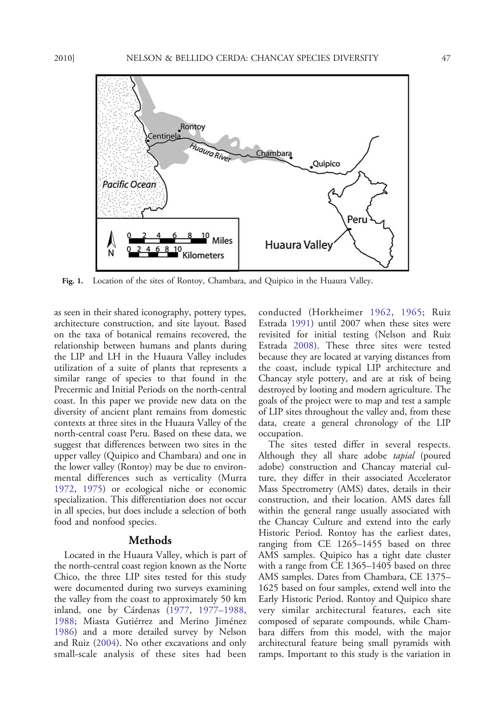<span id="page-1-0"></span>

Fig. 1. Location of the sites of Rontoy, Chambara, and Quipico in the Huaura Valley.

as seen in their shared iconography, pottery types, architecture construction, and site layout. Based on the taxa of botanical remains recovered, the relationship between humans and plants during the LIP and LH in the Huaura Valley includes utilization of a suite of plants that represents a similar range of species to that found in the Precermic and Initial Periods on the north-central coast. In this paper we provide new data on the diversity of ancient plant remains from domestic contexts at three sites in the Huaura Valley of the north-central coast Peru. Based on these data, we suggest that differences between two sites in the upper valley (Quipico and Chambara) and one in the lower valley (Rontoy) may be due to environmental differences such as verticality (Murra [1972,](#page-8-0) [1975](#page-8-0)) or ecological niche or economic specialization. This differentiation does not occur in all species, but does include a selection of both food and nonfood species.

#### **Methods**

Located in the Huaura Valley, which is part of the north-central coast region known as the Norte Chico, the three LIP sites tested for this study were documented during two surveys examining the valley from the coast to approximately 50 km inland, one by Cárdenas [\(1977](#page-7-0), 1977–[1988,](#page-7-0) [1988;](#page-7-0) Miasta Gutiérrez and Merino Jiménez [1986\)](#page-8-0) and a more detailed survey by Nelson and Ruiz ([2004\)](#page-8-0). No other excavations and only small-scale analysis of these sites had been conducted (Horkheimer [1962](#page-7-0), [1965](#page-7-0); Ruiz Estrada [1991](#page-8-0)) until 2007 when these sites were revisited for initial testing (Nelson and Ruiz Estrada [2008](#page-8-0)). These three sites were tested because they are located at varying distances from the coast, include typical LIP architecture and Chancay style pottery, and are at risk of being destroyed by looting and modern agriculture. The goals of the project were to map and test a sample of LIP sites throughout the valley and, from these data, create a general chronology of the LIP occupation.

The sites tested differ in several respects. Although they all share adobe *tapial* (poured adobe) construction and Chancay material culture, they differ in their associated Accelerator Mass Spectrometry (AMS) dates, details in their construction, and their location. AMS dates fall within the general range usually associated with the Chancay Culture and extend into the early Historic Period. Rontoy has the earliest dates, ranging from CE 1265–1455 based on three AMS samples. Quipico has a tight date cluster with a range from CE 1365–1405 based on three AMS samples. Dates from Chambara, CE 1375– 1625 based on four samples, extend well into the Early Historic Period. Rontoy and Quipico share very similar architectural features, each site composed of separate compounds, while Chambara differs from this model, with the major architectural feature being small pyramids with ramps. Important to this study is the variation in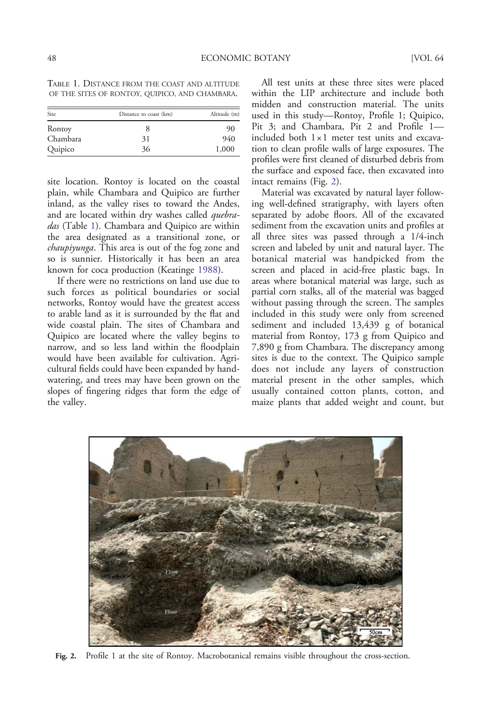TABLE 1. DISTANCE FROM THE COAST AND ALTITUDE OF THE SITES OF RONTOY, QUIPICO, AND CHAMBARA.

| Site     | Distance to coast (km) | Altitude (m) |  |
|----------|------------------------|--------------|--|
| Rontoy   |                        | 90           |  |
| Chambara | 31                     | 940          |  |
| Quipico  | 36                     | 1,000        |  |

site location. Rontoy is located on the coastal plain, while Chambara and Quipico are further inland, as the valley rises to toward the Andes, and are located within dry washes called quebradas (Table 1). Chambara and Quipico are within the area designated as a transitional zone, or chaupiyunga. This area is out of the fog zone and so is sunnier. Historically it has been an area known for coca production (Keatinge [1988\)](#page-7-0).

If there were no restrictions on land use due to such forces as political boundaries or social networks, Rontoy would have the greatest access to arable land as it is surrounded by the flat and wide coastal plain. The sites of Chambara and Quipico are located where the valley begins to narrow, and so less land within the floodplain would have been available for cultivation. Agricultural fields could have been expanded by handwatering, and trees may have been grown on the slopes of fingering ridges that form the edge of the valley.

All test units at these three sites were placed within the LIP architecture and include both midden and construction material. The units used in this study—Rontoy, Profile 1; Quipico, Pit 3; and Chambara, Pit 2 and Profile 1 included both 1×1 meter test units and excavation to clean profile walls of large exposures. The profiles were first cleaned of disturbed debris from the surface and exposed face, then excavated into intact remains (Fig. 2).

Material was excavated by natural layer following well-defined stratigraphy, with layers often separated by adobe floors. All of the excavated sediment from the excavation units and profiles at all three sites was passed through a 1/4-inch screen and labeled by unit and natural layer. The botanical material was handpicked from the screen and placed in acid-free plastic bags. In areas where botanical material was large, such as partial corn stalks, all of the material was bagged without passing through the screen. The samples included in this study were only from screened sediment and included 13,439 g of botanical material from Rontoy, 173 g from Quipico and 7,890 g from Chambara. The discrepancy among sites is due to the context. The Quipico sample does not include any layers of construction material present in the other samples, which usually contained cotton plants, cotton, and maize plants that added weight and count, but



Fig. 2. Profile 1 at the site of Rontoy. Macrobotanical remains visible throughout the cross-section.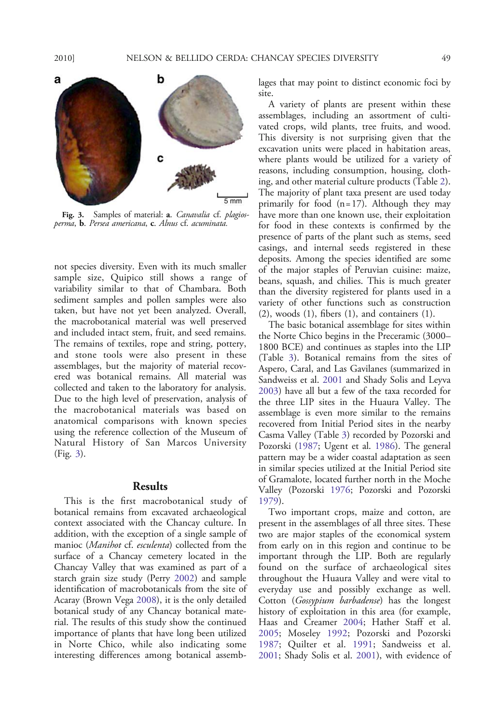

Fig. 3. Samples of material: a. *Canavalia* cf. *plagios*perma, **b**. Persea americana, **c**. Alnus cf. acuminata.

not species diversity. Even with its much smaller sample size, Quipico still shows a range of variability similar to that of Chambara. Both sediment samples and pollen samples were also taken, but have not yet been analyzed. Overall, the macrobotanical material was well preserved and included intact stem, fruit, and seed remains. The remains of textiles, rope and string, pottery, and stone tools were also present in these assemblages, but the majority of material recovered was botanical remains. All material was collected and taken to the laboratory for analysis. Due to the high level of preservation, analysis of the macrobotanical materials was based on anatomical comparisons with known species using the reference collection of the Museum of Natural History of San Marcos University (Fig. 3).

## Results

This is the first macrobotanical study of botanical remains from excavated archaeological context associated with the Chancay culture. In addition, with the exception of a single sample of manioc (Manihot cf. esculenta) collected from the surface of a Chancay cemetery located in the Chancay Valley that was examined as part of a starch grain size study (Perry [2002](#page-8-0)) and sample identification of macrobotanicals from the site of Acaray (Brown Vega [2008\)](#page-7-0), it is the only detailed botanical study of any Chancay botanical material. The results of this study show the continued importance of plants that have long been utilized in Norte Chico, while also indicating some interesting differences among botanical assemblages that may point to distinct economic foci by site.

A variety of plants are present within these assemblages, including an assortment of cultivated crops, wild plants, tree fruits, and wood. This diversity is not surprising given that the excavation units were placed in habitation areas, where plants would be utilized for a variety of reasons, including consumption, housing, clothing, and other material culture products (Table [2\)](#page-4-0). The majority of plant taxa present are used today primarily for food  $(n=17)$ . Although they may have more than one known use, their exploitation for food in these contexts is confirmed by the presence of parts of the plant such as stems, seed casings, and internal seeds registered in these deposits. Among the species identified are some of the major staples of Peruvian cuisine: maize, beans, squash, and chilies. This is much greater than the diversity registered for plants used in a variety of other functions such as construction  $(2)$ , woods  $(1)$ , fibers  $(1)$ , and containers  $(1)$ .

The basic botanical assemblage for sites within the Norte Chico begins in the Preceramic (3000– 1800 BCE) and continues as staples into the LIP (Table [3](#page-5-0)). Botanical remains from the sites of Aspero, Caral, and Las Gavilanes (summarized in Sandweiss et al. [2001](#page-8-0) and Shady Solis and Leyva [2003](#page-8-0)) have all but a few of the taxa recorded for the three LIP sites in the Huaura Valley. The assemblage is even more similar to the remains recovered from Initial Period sites in the nearby Casma Valley (Table [3\)](#page-5-0) recorded by Pozorski and Pozorski [\(1987](#page-8-0); Ugent et al. [1986\)](#page-8-0). The general pattern may be a wider coastal adaptation as seen in similar species utilized at the Initial Period site of Gramalote, located further north in the Moche Valley (Pozorski [1976](#page-8-0); Pozorski and Pozorski [1979](#page-8-0)).

Two important crops, maize and cotton, are present in the assemblages of all three sites. These two are major staples of the economical system from early on in this region and continue to be important through the LIP. Both are regularly found on the surface of archaeological sites throughout the Huaura Valley and were vital to everyday use and possibly exchange as well. Cotton (Gossypium barbadense) has the longest history of exploitation in this area (for example, Haas and Creamer [2004](#page-7-0); Hather Staff et al. [2005](#page-7-0); Moseley [1992;](#page-8-0) Pozorski and Pozorski [1987](#page-8-0); Quilter et al. [1991](#page-8-0); Sandweiss et al. [2001](#page-8-0); Shady Solis et al. [2001](#page-8-0)), with evidence of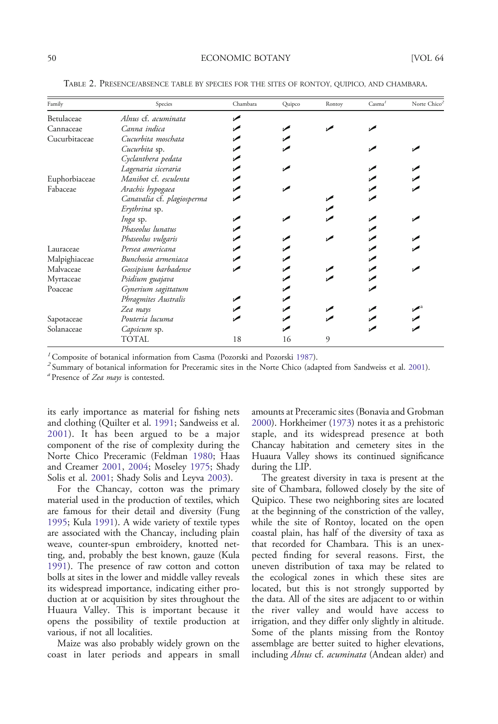| Family        | Species                    | Chambara | Quipco | Rontoy | $\text{Cas} \text{ma}^1$ | Norte Chico <sup>2</sup> |
|---------------|----------------------------|----------|--------|--------|--------------------------|--------------------------|
| Betulaceae    | Alnus cf. acuminata        |          |        |        |                          |                          |
| Cannaceae     | Canna indica               |          |        |        |                          |                          |
| Cucurbitaceae | Cucurbita moschata         |          |        |        |                          |                          |
|               | Cucurbita sp.              |          |        |        |                          |                          |
|               | Cyclanthera pedata         |          |        |        |                          |                          |
|               | Lagenaria siceraria        |          |        |        |                          |                          |
| Euphorbiaceae | Manihot cf. esculenta      |          |        |        |                          |                          |
| Fabaceae      | Arachis hypogaea           |          |        |        |                          |                          |
|               | Canavalia cf. plagiosperma |          |        |        |                          |                          |
|               | Erythrina sp.              |          |        |        |                          |                          |
|               | Inga sp.                   |          |        |        |                          |                          |
|               | Phaseolus lunatus          |          |        |        |                          |                          |
|               | Phaseolus vulgaris         |          |        |        |                          |                          |
| Lauraceae     | Persea americana           |          |        |        |                          |                          |
| Malpighiaceae | Bunchosia armeniaca        |          |        |        |                          |                          |
| Malvaceae     | Gossipium barbadense       |          |        |        |                          |                          |
| Myrtaceae     | Psidium guajava            |          |        |        |                          |                          |
| Poaceae       | Gynerium sagittatum        |          |        |        |                          |                          |
|               | Phragmites Australis       |          |        |        |                          |                          |
|               | Zea mays                   |          |        |        |                          |                          |
| Sapotaceae    | Pouteria lucuma            |          |        |        |                          |                          |
| Solanaceae    | Capsicum sp.               |          |        |        |                          |                          |
|               | TOTAL                      | 18       | 16     | 9      |                          |                          |

<span id="page-4-0"></span>TABLE 2. PRESENCE/ABSENCE TABLE BY SPECIES FOR THE SITES OF RONTOY, QUIPICO, AND CHAMBARA.

<sup>1</sup> Composite of botanical information from Casma (Pozorski and Pozorski [1987](#page-8-0)). <sup>2</sup> Summary of botanical information for Preceramic sites in the Norte Chico (adapted from Sandweiss et al. [2001](#page-8-0)).

<sup>a</sup> Presence of Zea mays is contested.

its early importance as material for fishing nets and clothing (Quilter et al. [1991](#page-8-0); Sandweiss et al. [2001](#page-8-0)). It has been argued to be a major component of the rise of complexity during the Norte Chico Preceramic (Feldman [1980;](#page-7-0) Haas and Creamer [2001](#page-7-0), [2004;](#page-7-0) Moseley [1975;](#page-8-0) Shady Solis et al. [2001](#page-8-0); Shady Solis and Leyva [2003](#page-8-0)).

For the Chancay, cotton was the primary material used in the production of textiles, which are famous for their detail and diversity (Fung [1995](#page-7-0); Kula [1991\)](#page-7-0). A wide variety of textile types are associated with the Chancay, including plain weave, counter-spun embroidery, knotted netting, and, probably the best known, gauze (Kula [1991](#page-7-0)). The presence of raw cotton and cotton bolls at sites in the lower and middle valley reveals its widespread importance, indicating either production at or acquisition by sites throughout the Huaura Valley. This is important because it opens the possibility of textile production at various, if not all localities.

Maize was also probably widely grown on the coast in later periods and appears in small

amounts at Preceramic sites (Bonavia and Grobman [2000\)](#page-7-0). Horkheimer [\(1973\)](#page-7-0) notes it as a prehistoric staple, and its widespread presence at both Chancay habitation and cemetery sites in the Huaura Valley shows its continued significance during the LIP.

The greatest diversity in taxa is present at the site of Chambara, followed closely by the site of Quipico. These two neighboring sites are located at the beginning of the constriction of the valley, while the site of Rontoy, located on the open coastal plain, has half of the diversity of taxa as that recorded for Chambara. This is an unexpected finding for several reasons. First, the uneven distribution of taxa may be related to the ecological zones in which these sites are located, but this is not strongly supported by the data. All of the sites are adjacent to or within the river valley and would have access to irrigation, and they differ only slightly in altitude. Some of the plants missing from the Rontoy assemblage are better suited to higher elevations, including Alnus cf. acuminata (Andean alder) and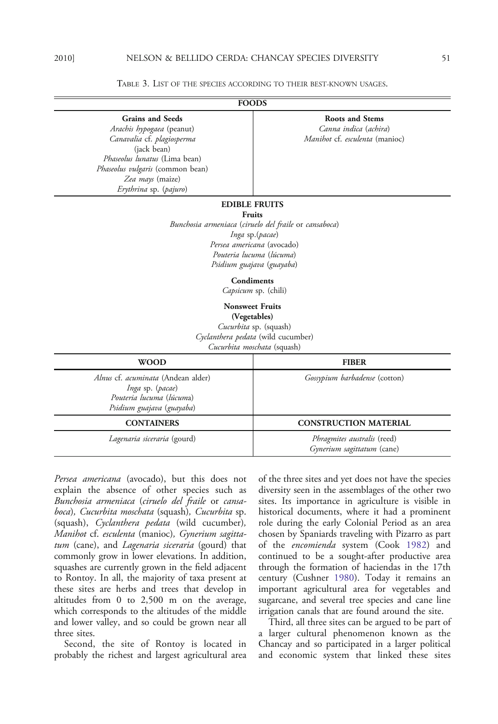| Canavalia cf. plagiosperma<br>(jack bean)<br>Phaseolus lunatus (Lima bean)<br><i>Phaseolus vulgaris</i> (common bean)<br>Zea mays (maize)                                                                | <i>Manihot</i> cf. <i>esculenta</i> (manioc) |  |  |  |
|----------------------------------------------------------------------------------------------------------------------------------------------------------------------------------------------------------|----------------------------------------------|--|--|--|
| Erythrina sp. (pajuro)                                                                                                                                                                                   |                                              |  |  |  |
| <b>EDIBLE FRUITS</b><br><b>Fruits</b><br>Bunchosia armeniaca (ciruelo del fraile or cansaboca)<br>Inga sp.(pacae)<br>Persea americana (avocado)<br>Pouteria lucuma (lúcuma)<br>Psidium guajava (guayaba) |                                              |  |  |  |
| Condiments<br>Capsicum sp. (chili)                                                                                                                                                                       |                                              |  |  |  |
| <b>Nonsweet Fruits</b><br>(Vegetables)<br>Cucurbita sp. (squash)<br>Cyclanthera pedata (wild cucumber)<br>Cucurbita moschata (squash)                                                                    |                                              |  |  |  |
| <b>WOOD</b>                                                                                                                                                                                              | <b>FIBER</b>                                 |  |  |  |
| Alnus cf. acuminata (Andean alder)<br>Inga sp. (pacae)<br>Pouteria lucuma (lúcuma)<br>Psidium guajava (guayaba)                                                                                          | Gossypium barbadense (cotton)                |  |  |  |
| <b>CONTAINERS</b>                                                                                                                                                                                        | <b>CONSTRUCTION MATERIAL</b>                 |  |  |  |

Lagenaria siceraria (gourd) Phragmites australis (reed)

<span id="page-5-0"></span>TABLE 3. LIST OF THE SPECIES ACCORDING TO THEIR BEST-KNOWN USAGES. FOODS

Grains and Seeds Roots and Stems

Persea americana (avocado), but this does not explain the absence of other species such as Bunchosia armeniaca (ciruelo del fraile or cansaboca), Cucurbita moschata (squash), Cucurbita sp. (squash), Cyclanthera pedata (wild cucumber), Manihot cf. esculenta (manioc), Gynerium sagittatum (cane), and *Lagenaria siceraria* (gourd) that commonly grow in lower elevations. In addition, squashes are currently grown in the field adjacent to Rontoy. In all, the majority of taxa present at these sites are herbs and trees that develop in altitudes from 0 to 2,500 m on the average, which corresponds to the altitudes of the middle and lower valley, and so could be grown near all three sites.

Arachis hypogaea (peanut)

Second, the site of Rontoy is located in probably the richest and largest agricultural area of the three sites and yet does not have the species diversity seen in the assemblages of the other two sites. Its importance in agriculture is visible in historical documents, where it had a prominent role during the early Colonial Period as an area chosen by Spaniards traveling with Pizarro as part of the encomienda system (Cook [1982](#page-7-0)) and continued to be a sought-after productive area through the formation of haciendas in the 17th century (Cushner [1980](#page-7-0)). Today it remains an important agricultural area for vegetables and sugarcane, and several tree species and cane line irrigation canals that are found around the site.

Gynerium sagittatum (cane)

Third, all three sites can be argued to be part of a larger cultural phenomenon known as the Chancay and so participated in a larger political and economic system that linked these sites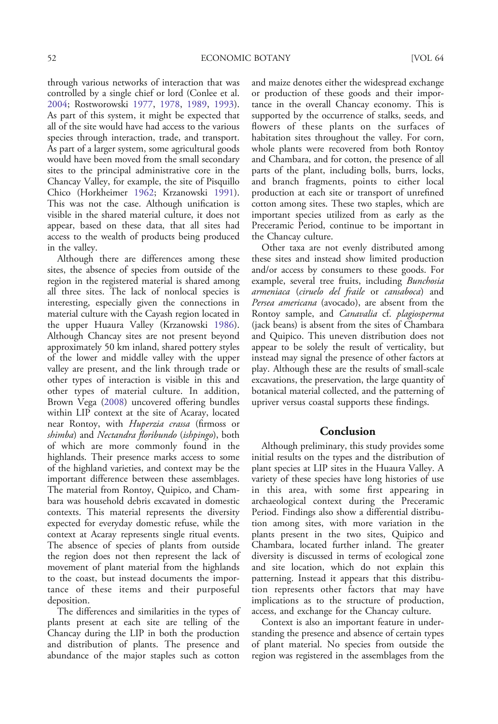through various networks of interaction that was controlled by a single chief or lord (Conlee et al. [2004](#page-7-0); Rostworowski [1977](#page-8-0), [1978,](#page-8-0) [1989,](#page-8-0) [1993\)](#page-8-0). As part of this system, it might be expected that all of the site would have had access to the various species through interaction, trade, and transport. As part of a larger system, some agricultural goods would have been moved from the small secondary sites to the principal administrative core in the Chancay Valley, for example, the site of Pisquillo Chico (Horkheimer [1962](#page-7-0); Krzanowski [1991\)](#page-7-0). This was not the case. Although unification is visible in the shared material culture, it does not appear, based on these data, that all sites had access to the wealth of products being produced in the valley.

Although there are differences among these sites, the absence of species from outside of the region in the registered material is shared among all three sites. The lack of nonlocal species is interesting, especially given the connections in material culture with the Cayash region located in the upper Huaura Valley (Krzanowski [1986\)](#page-7-0). Although Chancay sites are not present beyond approximately 50 km inland, shared pottery styles of the lower and middle valley with the upper valley are present, and the link through trade or other types of interaction is visible in this and other types of material culture. In addition, Brown Vega [\(2008](#page-7-0)) uncovered offering bundles within LIP context at the site of Acaray, located near Rontoy, with Huperzia crassa (firmoss or shimba) and Nectandra floribundo (ishpingo), both of which are more commonly found in the highlands. Their presence marks access to some of the highland varieties, and context may be the important difference between these assemblages. The material from Rontoy, Quipico, and Chambara was household debris excavated in domestic contexts. This material represents the diversity expected for everyday domestic refuse, while the context at Acaray represents single ritual events. The absence of species of plants from outside the region does not then represent the lack of movement of plant material from the highlands to the coast, but instead documents the importance of these items and their purposeful deposition.

The differences and similarities in the types of plants present at each site are telling of the Chancay during the LIP in both the production and distribution of plants. The presence and abundance of the major staples such as cotton

and maize denotes either the widespread exchange or production of these goods and their importance in the overall Chancay economy. This is supported by the occurrence of stalks, seeds, and flowers of these plants on the surfaces of habitation sites throughout the valley. For corn, whole plants were recovered from both Rontoy and Chambara, and for cotton, the presence of all parts of the plant, including bolls, burrs, locks, and branch fragments, points to either local production at each site or transport of unrefined cotton among sites. These two staples, which are important species utilized from as early as the Preceramic Period, continue to be important in the Chancay culture.

Other taxa are not evenly distributed among these sites and instead show limited production and/or access by consumers to these goods. For example, several tree fruits, including Bunchosia armeniaca (ciruelo del fraile or cansaboca) and Persea americana (avocado), are absent from the Rontoy sample, and Canavalia cf. plagiosperma (jack beans) is absent from the sites of Chambara and Quipico. This uneven distribution does not appear to be solely the result of verticality, but instead may signal the presence of other factors at play. Although these are the results of small-scale excavations, the preservation, the large quantity of botanical material collected, and the patterning of upriver versus coastal supports these findings.

## Conclusion

Although preliminary, this study provides some initial results on the types and the distribution of plant species at LIP sites in the Huaura Valley. A variety of these species have long histories of use in this area, with some first appearing in archaeological context during the Preceramic Period. Findings also show a differential distribution among sites, with more variation in the plants present in the two sites, Quipico and Chambara, located further inland. The greater diversity is discussed in terms of ecological zone and site location, which do not explain this patterning. Instead it appears that this distribution represents other factors that may have implications as to the structure of production, access, and exchange for the Chancay culture.

Context is also an important feature in understanding the presence and absence of certain types of plant material. No species from outside the region was registered in the assemblages from the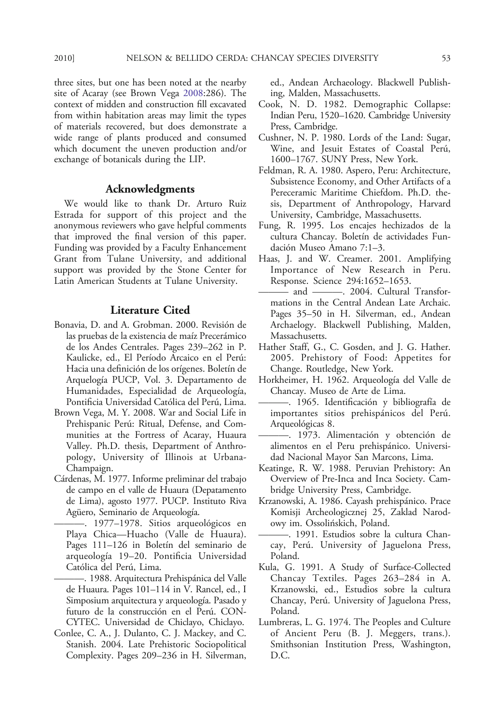<span id="page-7-0"></span>

three sites, but one has been noted at the nearby site of Acaray (see Brown Vega 2008:286). The context of midden and construction fill excavated from within habitation areas may limit the types of materials recovered, but does demonstrate a wide range of plants produced and consumed which document the uneven production and/or exchange of botanicals during the LIP.

## Acknowledgments

We would like to thank Dr. Arturo Ruiz Estrada for support of this project and the anonymous reviewers who gave helpful comments that improved the final version of this paper. Funding was provided by a Faculty Enhancement Grant from Tulane University, and additional support was provided by the Stone Center for Latin American Students at Tulane University.

### Literature Cited

- Bonavia, D. and A. Grobman. 2000. Revisión de las pruebas de la existencia de maíz Precerámico de los Andes Centrales. Pages 239–262 in P. Kaulicke, ed., El Período Arcaico en el Perú: Hacia una definición de los orígenes. Boletín de Arquelogía PUCP, Vol. 3. Departamento de Humanidades, Especialidad de Arqueología, Pontificia Universidad Católica del Perú, Lima.
- Brown Vega, M. Y. 2008. War and Social Life in Prehispanic Perú: Ritual, Defense, and Communities at the Fortress of Acaray, Huaura Valley. Ph.D. thesis, Department of Anthropology, University of Illinois at Urbana-Champaign.
- Cárdenas, M. 1977. Informe preliminar del trabajo de campo en el valle de Huaura (Depatamento de Lima), agosto 1977. PUCP. Instituto Riva Agüero, Seminario de Arqueología.
	- ———. 1977–1978. Sitios arqueológicos en Playa Chica—Huacho (Valle de Huaura). Pages 111–126 in Boletín del seminario de arqueología 19–20. Pontificia Universidad Católica del Perú, Lima.
	- ———. 1988. Arquitectura Prehispánica del Valle de Huaura. Pages 101–114 in V. Rancel, ed., I Simposium arquitectura y arqueología. Pasado y futuro de la construcción en el Perú. CON-CYTEC. Universidad de Chiclayo, Chiclayo.
- Conlee, C. A., J. Dulanto, C. J. Mackey, and C. Stanish. 2004. Late Prehistoric Sociopolitical Complexity. Pages 209–236 in H. Silverman,

ed., Andean Archaeology. Blackwell Publishing, Malden, Massachusetts.

- Cook, N. D. 1982. Demographic Collapse: Indian Peru, 1520–1620. Cambridge University Press, Cambridge.
- Cushner, N. P. 1980. Lords of the Land: Sugar, Wine, and Jesuit Estates of Coastal Perú, 1600–1767. SUNY Press, New York.
- Feldman, R. A. 1980. Aspero, Peru: Architecture, Subsistence Economy, and Other Artifacts of a Pereceramic Maritime Chiefdom. Ph.D. thesis, Department of Anthropology, Harvard University, Cambridge, Massachusetts.
- Fung, R. 1995. Los encajes hechizados de la cultura Chancay. Boletín de actividades Fundación Museo Amano 7:1–3.
- Haas, J. and W. Creamer. 2001. Amplifying Importance of New Research in Peru. Response. Science 294:1652–1653.
- and ———. 2004. Cultural Transformations in the Central Andean Late Archaic. Pages 35–50 in H. Silverman, ed., Andean Archaelogy. Blackwell Publishing, Malden, Massachusetts.
- Hather Staff, G., C. Gosden, and J. G. Hather. 2005. Prehistory of Food: Appetites for Change. Routledge, New York.
- Horkheimer, H. 1962. Arqueología del Valle de Chancay. Museo de Arte de Lima.
- ———. 1965. Identificación y bibliografía de importantes sitios prehispánicos del Perú. Arqueológicas 8.
- ———. 1973. Alimentación y obtención de alimentos en el Peru prehispánico. Universidad Nacional Mayor San Marcons, Lima.
- Keatinge, R. W. 1988. Peruvian Prehistory: An Overview of Pre-Inca and Inca Society. Cambridge University Press, Cambridge.
- Krzanowski, A. 1986. Cayash prehispánico. Prace Komisji Archeologicznej 25, Zaklad Narodowy im. Ossolińskich, Poland.
- ———. 1991. Estudios sobre la cultura Chancay, Perú. University of Jaguelona Press, Poland.
- Kula, G. 1991. A Study of Surface-Collected Chancay Textiles. Pages 263–284 in A. Krzanowski, ed., Estudios sobre la cultura Chancay, Perú. University of Jaguelona Press, Poland.
- Lumbreras, L. G. 1974. The Peoples and Culture of Ancient Peru (B. J. Meggers, trans.). Smithsonian Institution Press, Washington, D.C.